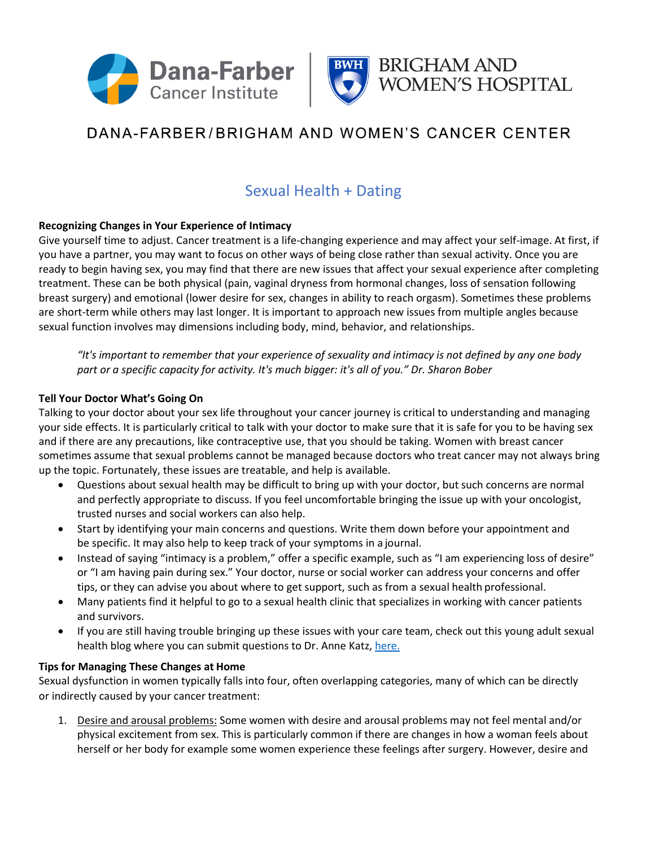



## DANA-FARBER/BRIGHAM AND WOMEN'S CANCER CENTER

### Sexual Health + Dating

### **Recognizing Changes in Your Experience of Intimacy**

Give yourself time to adjust. Cancer treatment is a life-changing experience and may affect your self-image. At first, if you have a partner, you may want to focus on other ways of being close rather than sexual activity. Once you are ready to begin having sex, you may find that there are new issues that affect your sexual experience after completing treatment. These can be both physical (pain, vaginal dryness from hormonal changes, loss of sensation following breast surgery) and emotional (lower desire for sex, changes in ability to reach orgasm). Sometimes these problems are short-term while others may last longer. It is important to approach new issues from multiple angles because sexual function involves may dimensions including body, mind, behavior, and relationships.

*"It's important to remember that your experience of sexuality and intimacy is not defined by any one body part or a specific capacity for activity. It's much bigger: it's all of you." Dr. Sharon Bober*

### **Tell Your Doctor What's Going On**

Talking to your doctor about your sex life throughout your cancer journey is critical to understanding and managing your side effects. It is particularly critical to talk with your doctor to make sure that it is safe for you to be having sex and if there are any precautions, like contraceptive use, that you should be taking. Women with breast cancer sometimes assume that sexual problems cannot be managed because doctors who treat cancer may not always bring up the topic. Fortunately, these issues are treatable, and help is available.

- Questions about sexual health may be difficult to bring up with your doctor, but such concerns are normal and perfectly appropriate to discuss. If you feel uncomfortable bringing the issue up with your oncologist, trusted nurses and social workers can also help.
- Start by identifying your main concerns and questions. Write them down before your appointment and be specific. It may also help to keep track of your symptoms in a journal.
- Instead of saying "intimacy is a problem," offer a specific example, such as "I am experiencing loss of desire" or "I am having pain during sex." Your doctor, nurse or social worker can address your concerns and offer tips, or they can advise you about where to get support, such as from a sexual health professional.
- Many patients find it helpful to go to a sexual health clinic that specializes in working with cancer patients and survivors.
- If you are still having trouble bringing up these issues with your care team, check out this young adult sexual health blog where you can submit questions to Dr. Anne Katz[, here.](https://lacunaloft.org/awkward-auntie-by-dr-anne-katz/)

### **Tips for Managing These Changes at Home**

Sexual dysfunction in women typically falls into four, often overlapping categories, many of which can be directly or indirectly caused by your cancer treatment:

1. Desire and arousal problems: Some women with desire and arousal problems may not feel mental and/or physical excitement from sex. This is particularly common if there are changes in how a woman feels about herself or her body for example some women experience these feelings after surgery. However, desire and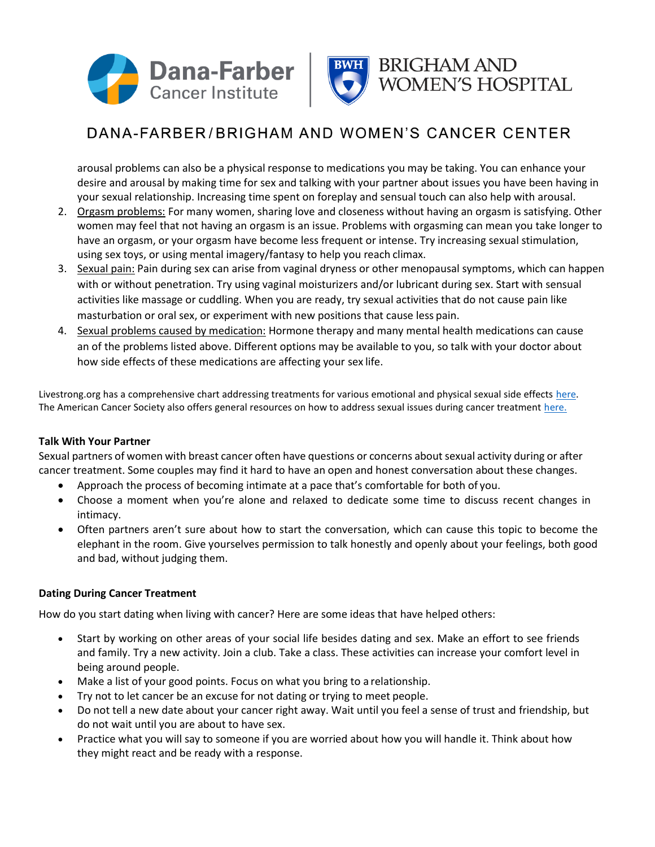



# DANA-FARBER/BRIGHAM AND WOMEN'S CANCER CENTER

arousal problems can also be a physical response to medications you may be taking. You can enhance your desire and arousal by making time for sex and talking with your partner about issues you have been having in your sexual relationship. Increasing time spent on foreplay and sensual touch can also help with arousal.

- 2. Orgasm problems: For many women, sharing love and closeness without having an orgasm is satisfying. Other women may feel that not having an orgasm is an issue. Problems with orgasming can mean you take longer to have an orgasm, or your orgasm have become less frequent or intense. Try increasing sexual stimulation, using sex toys, or using mental imagery/fantasy to help you reach climax.
- 3. Sexual pain: Pain during sex can arise from vaginal dryness or other menopausal symptoms, which can happen with or without penetration. Try using vaginal moisturizers and/or lubricant during sex. Start with sensual activities like massage or cuddling. When you are ready, try sexual activities that do not cause pain like masturbation or oral sex, or experiment with new positions that cause less pain.
- 4. Sexual problems caused by medication: Hormone therapy and many mental health medications can cause an of the problems listed above. Different options may be available to you, so talk with your doctor about how side effects of these medications are affecting your sex life.

Livestrong.org has a comprehensive chart addressing treatments for various emotional and physical sexual side effects [here.](https://www.livestrong.org/we-can-help/finishing-treatment/female-sexual-health-after-cancer) The American Cancer Society also offers general resources on how to address sexual issues during cancer treatment [here.](http://www.cancer.org/treatment/treatments-and-side-effects/physical-side-effects/fertility-and-sexual-side-effects/sexuality-for-women-with-cancer/problems.html)

### **Talk With Your Partner**

Sexual partners of women with breast cancer often have questions or concerns about sexual activity during or after cancer treatment. Some couples may find it hard to have an open and honest conversation about these changes.

- Approach the process of becoming intimate at a pace that's comfortable for both of you.
- Choose a moment when you're alone and relaxed to dedicate some time to discuss recent changes in intimacy.
- Often partners aren't sure about how to start the conversation, which can cause this topic to become the elephant in the room. Give yourselves permission to talk honestly and openly about your feelings, both good and bad, without judging them.

### **Dating During Cancer Treatment**

How do you start dating when living with cancer? Here are some ideas that have helped others:

- Start by working on other areas of your social life besides dating and sex. Make an effort to see friends and family. Try a new activity. Join a club. Take a class. These activities can increase your comfort level in being around people.
- Make a list of your good points. Focus on what you bring to a relationship.
- Try not to let cancer be an excuse for not dating or trying to meet people.
- Do not tell a new date about your cancer right away. Wait until you feel a sense of trust and friendship, but do not wait until you are about to have sex.
- Practice what you will say to someone if you are worried about how you will handle it. Think about how they might react and be ready with a response.